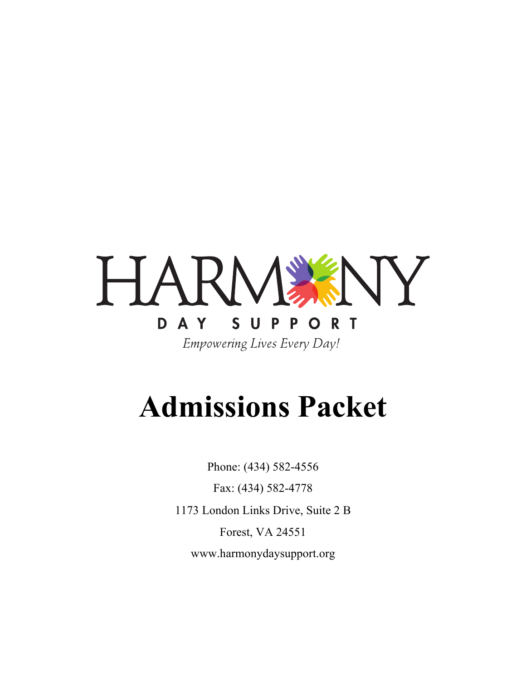

# **Admissions Packet**

Phone: (434) 582-4556 Fax: (434) 582-4778 1173 London Links Drive, Suite 2 B Forest, VA 24551 www.harmonydaysupport.org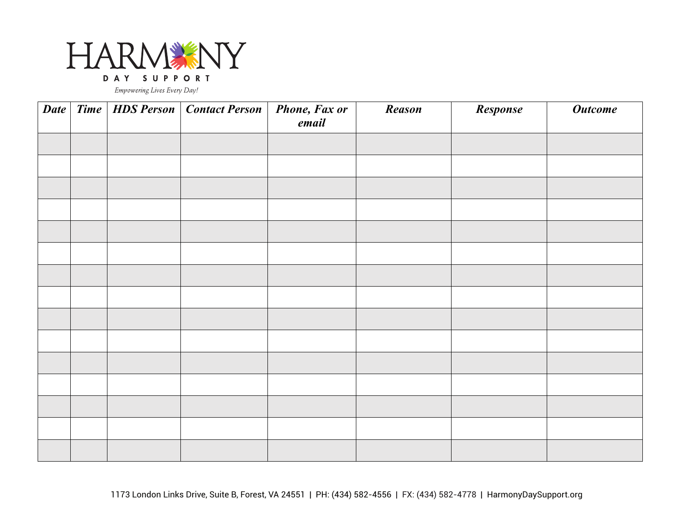

|  | Date   Time   HDS Person   Contact Person   Phone, Fax or | email | <b>Reason</b> | Response | <b>Outcome</b> |
|--|-----------------------------------------------------------|-------|---------------|----------|----------------|
|  |                                                           |       |               |          |                |
|  |                                                           |       |               |          |                |
|  |                                                           |       |               |          |                |
|  |                                                           |       |               |          |                |
|  |                                                           |       |               |          |                |
|  |                                                           |       |               |          |                |
|  |                                                           |       |               |          |                |
|  |                                                           |       |               |          |                |
|  |                                                           |       |               |          |                |
|  |                                                           |       |               |          |                |
|  |                                                           |       |               |          |                |
|  |                                                           |       |               |          |                |
|  |                                                           |       |               |          |                |
|  |                                                           |       |               |          |                |
|  |                                                           |       |               |          |                |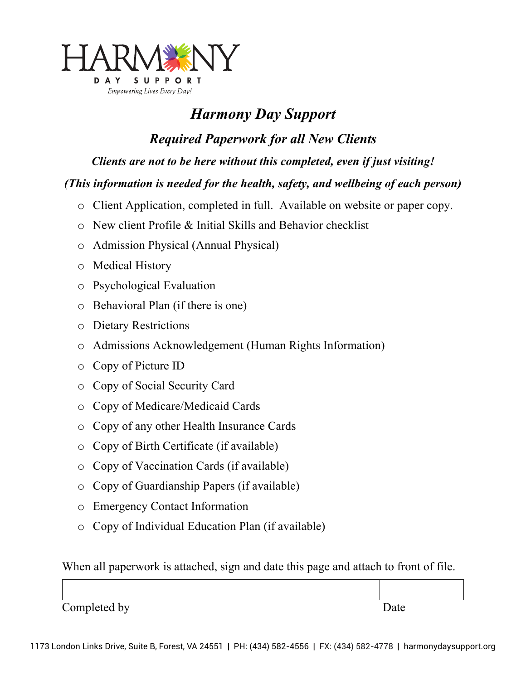

### *Harmony Day Support*

*Required Paperwork for all New Clients*

*Clients are not to be here without this completed, even if just visiting!*

#### *(This information is needed for the health, safety, and wellbeing of each person)*

- o Client Application, completed in full. Available on website or paper copy.
- o New client Profile & Initial Skills and Behavior checklist
- o Admission Physical (Annual Physical)
- o Medical History
- o Psychological Evaluation
- o Behavioral Plan (if there is one)
- o Dietary Restrictions
- o Admissions Acknowledgement (Human Rights Information)
- o Copy of Picture ID
- o Copy of Social Security Card
- o Copy of Medicare/Medicaid Cards
- o Copy of any other Health Insurance Cards
- o Copy of Birth Certificate (if available)
- o Copy of Vaccination Cards (if available)
- o Copy of Guardianship Papers (if available)
- o Emergency Contact Information
- o Copy of Individual Education Plan (if available)

When all paperwork is attached, sign and date this page and attach to front of file.

Completed by Date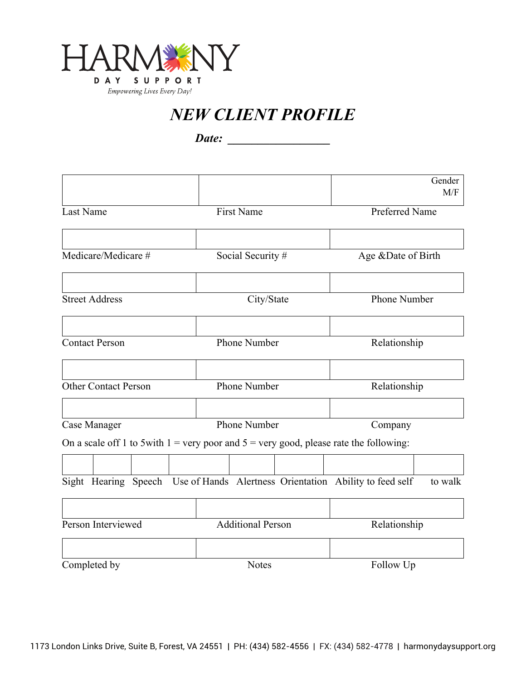

*NEW CLIENT PROFILE*

*Date: \_\_\_\_\_\_\_\_\_\_\_\_\_\_\_\_\_*

|                             |                                                                                           | Gender<br>M/F       |
|-----------------------------|-------------------------------------------------------------------------------------------|---------------------|
| Last Name                   | <b>First Name</b>                                                                         | Preferred Name      |
|                             |                                                                                           |                     |
| Medicare/Medicare #         | Social Security #                                                                         | Age &Date of Birth  |
|                             |                                                                                           |                     |
| <b>Street Address</b>       | City/State                                                                                | <b>Phone Number</b> |
| <b>Contact Person</b>       | <b>Phone Number</b>                                                                       | Relationship        |
|                             |                                                                                           |                     |
| <b>Other Contact Person</b> | Phone Number                                                                              | Relationship        |
| Case Manager                | Phone Number                                                                              | Company             |
|                             | On a scale off 1 to 5with $1 =$ very poor and $5 =$ very good, please rate the following: |                     |
|                             |                                                                                           |                     |
|                             | Sight Hearing Speech Use of Hands Alertness Orientation Ability to feed self              | to walk             |
|                             |                                                                                           |                     |
| Person Interviewed          | <b>Additional Person</b>                                                                  | Relationship        |
| Completed by                | <b>Notes</b>                                                                              | Follow Up           |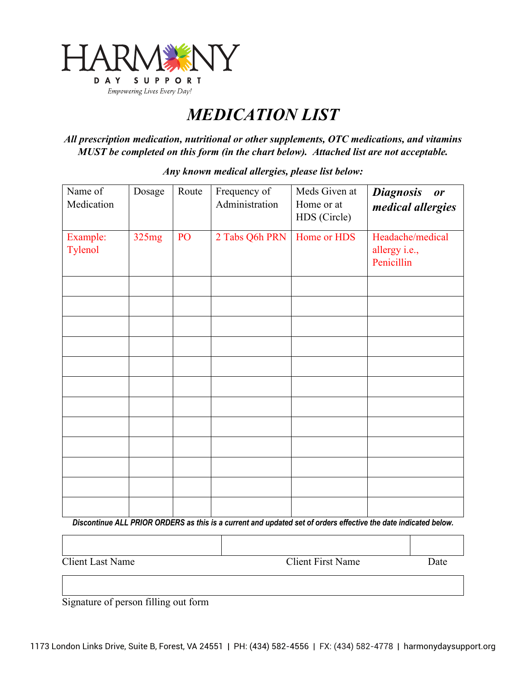

### *MEDICATION LIST*

*All prescription medication, nutritional or other supplements, OTC medications, and vitamins MUST be completed on this form (in the chart below). Attached list are not acceptable.*

| Name of<br>Medication | Dosage | Route | Frequency of<br>Administration | Meds Given at<br>Home or at<br>HDS (Circle) | <b>Diagnosis</b><br>or<br>medical allergies     |
|-----------------------|--------|-------|--------------------------------|---------------------------------------------|-------------------------------------------------|
| Example:<br>Tylenol   | 325mg  | PO    | 2 Tabs Q6h PRN                 | Home or HDS                                 | Headache/medical<br>allergy i.e.,<br>Penicillin |
|                       |        |       |                                |                                             |                                                 |
|                       |        |       |                                |                                             |                                                 |
|                       |        |       |                                |                                             |                                                 |
|                       |        |       |                                |                                             |                                                 |
|                       |        |       |                                |                                             |                                                 |
|                       |        |       |                                |                                             |                                                 |
|                       |        |       |                                |                                             |                                                 |
|                       |        |       |                                |                                             |                                                 |
|                       |        |       |                                |                                             |                                                 |
|                       |        |       |                                |                                             |                                                 |
|                       |        |       |                                |                                             |                                                 |
|                       |        |       |                                |                                             |                                                 |

*Any known medical allergies, please list below:*

*Discontinue ALL PRIOR ORDERS as this is a current and updated set of orders effective the date indicated below.*

Client Last Name Client First Name Date

Signature of person filling out form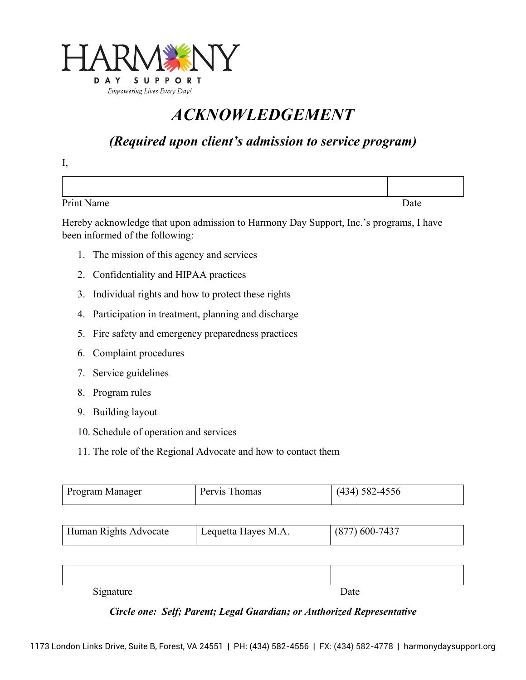

### *ACKNOWLEDGEMENT*

### *(Required upon client's admission to service program)*

Print Name Date Name Date New York 2014

Hereby acknowledge that upon admission to Harmony Day Support, Inc.'s programs, I have been informed of the following:

- 1. The mission of this agency and services
- 2. Confidentiality and HIPAA practices
- 3. Individual rights and how to protect these rights
- 4. Participation in treatment, planning and discharge
- 5. Fire safety and emergency preparedness practices
- 6. Complaint procedures
- 7. Service guidelines
- 8. Program rules

I,

- 9. Building layout
- 10. Schedule of operation and services
- 11. The role of the Regional Advocate and how to contact them

| mager<br>Program Mana | mas | $1 - r$<br>--- |
|-----------------------|-----|----------------|
|-----------------------|-----|----------------|

| $(877)$ 600-7437<br>Human Rights Advocate<br>Lequetta Hayes M.A. |  |
|------------------------------------------------------------------|--|
|------------------------------------------------------------------|--|

| $\sim$ .<br>$\sim$ $\sim$ $\sim$<br>$U_{\rm L}$ $U_{\rm L}$ | Date |
|-------------------------------------------------------------|------|

#### *Circle one: Self; Parent; Legal Guardian; or Authorized Representative*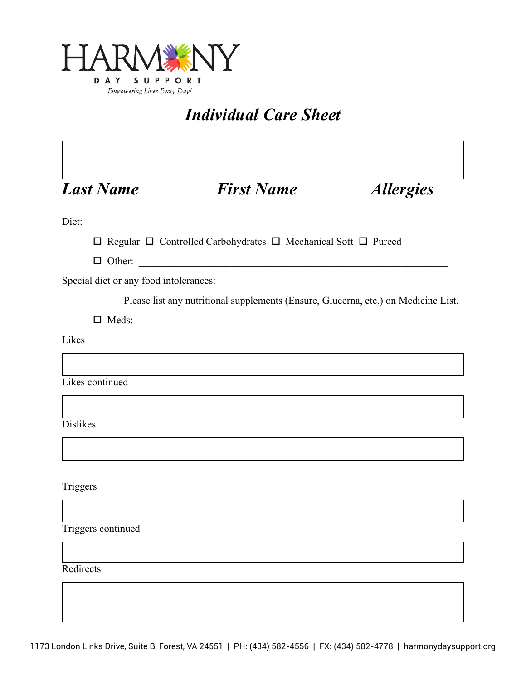

### *Individual Care Sheet*

| <b>Last Name</b>                       | <b>First Name</b>                                                                   | <b>Allergies</b> |
|----------------------------------------|-------------------------------------------------------------------------------------|------------------|
| Diet:                                  |                                                                                     |                  |
|                                        | $\Box$ Regular $\Box$ Controlled Carbohydrates $\Box$ Mechanical Soft $\Box$ Pureed |                  |
|                                        |                                                                                     |                  |
| Special diet or any food intolerances: |                                                                                     |                  |
|                                        | Please list any nutritional supplements (Ensure, Glucerna, etc.) on Medicine List.  |                  |
|                                        |                                                                                     |                  |
| Likes                                  |                                                                                     |                  |
|                                        |                                                                                     |                  |
| Likes continued                        |                                                                                     |                  |
|                                        |                                                                                     |                  |
| <b>Dislikes</b>                        |                                                                                     |                  |
|                                        |                                                                                     |                  |
|                                        |                                                                                     |                  |
| Triggers                               |                                                                                     |                  |
|                                        |                                                                                     |                  |
| Triggers continued                     |                                                                                     |                  |
|                                        |                                                                                     |                  |
|                                        |                                                                                     |                  |
| Redirects                              |                                                                                     |                  |
|                                        |                                                                                     |                  |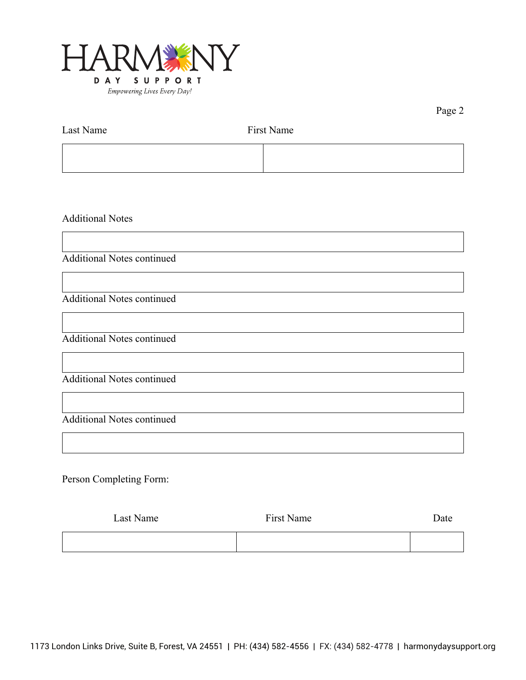

Page 2

| Last Name | First Name |  |
|-----------|------------|--|
|           |            |  |

Additional Notes

Additional Notes continued

Additional Notes continued

Additional Notes continued

Additional Notes continued

Additional Notes continued

Person Completing Form:

| Last Name | First Name | Date |
|-----------|------------|------|
|           |            |      |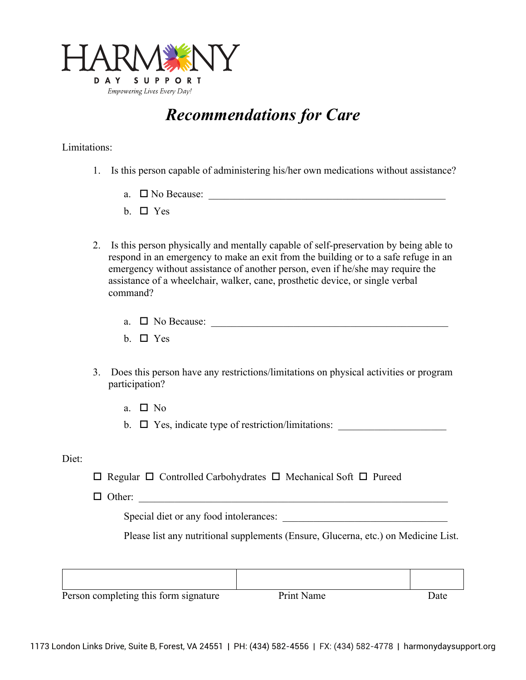

### *Recommendations for Care*

#### Limitations:

- 1. Is this person capable of administering his/her own medications without assistance?
	- a.  $\Box$  No Because:
	- b.  $\Box$  Yes
- 2. Is this person physically and mentally capable of self-preservation by being able to respond in an emergency to make an exit from the building or to a safe refuge in an emergency without assistance of another person, even if he/she may require the assistance of a wheelchair, walker, cane, prosthetic device, or single verbal command?
	- a.  $\Box$  No Because:
	- b.  $\Box$  Yes
- 3. Does this person have any restrictions/limitations on physical activities or program participation?
	- a.  $\Box$  No

b.  $\Box$  Yes, indicate type of restriction/limitations:

#### Diet:

 $\Box$  Regular  $\Box$  Controlled Carbohydrates  $\Box$  Mechanical Soft  $\Box$  Pureed

 $\Box$  Other:

Special diet or any food intolerances:

Please list any nutritional supplements (Ensure, Glucerna, etc.) on Medicine List.

| Person completing this form signature | Print Name | Date |
|---------------------------------------|------------|------|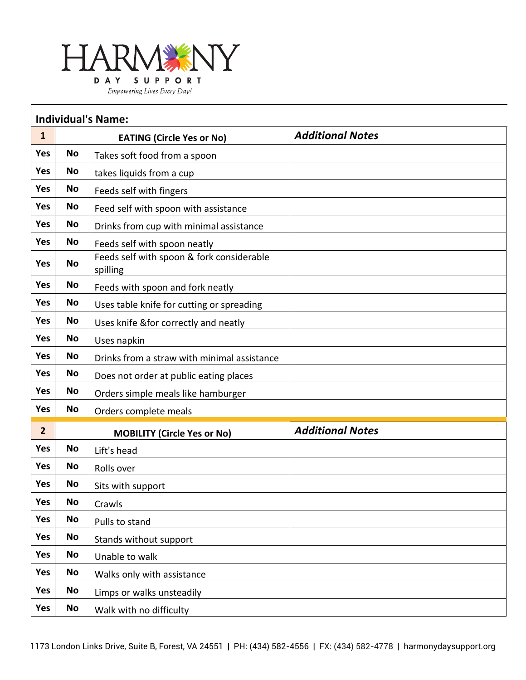

|                | <b>Individual's Name:</b> |                                                       |                         |  |  |  |  |
|----------------|---------------------------|-------------------------------------------------------|-------------------------|--|--|--|--|
| $\mathbf{1}$   |                           | <b>EATING (Circle Yes or No)</b>                      | <b>Additional Notes</b> |  |  |  |  |
| <b>Yes</b>     | <b>No</b>                 | Takes soft food from a spoon                          |                         |  |  |  |  |
| Yes            | <b>No</b>                 | takes liquids from a cup                              |                         |  |  |  |  |
| Yes            | <b>No</b>                 | Feeds self with fingers                               |                         |  |  |  |  |
| <b>Yes</b>     | No                        | Feed self with spoon with assistance                  |                         |  |  |  |  |
| Yes            | <b>No</b>                 | Drinks from cup with minimal assistance               |                         |  |  |  |  |
| <b>Yes</b>     | <b>No</b>                 | Feeds self with spoon neatly                          |                         |  |  |  |  |
| <b>Yes</b>     | No                        | Feeds self with spoon & fork considerable<br>spilling |                         |  |  |  |  |
| <b>Yes</b>     | <b>No</b>                 | Feeds with spoon and fork neatly                      |                         |  |  |  |  |
| Yes            | <b>No</b>                 | Uses table knife for cutting or spreading             |                         |  |  |  |  |
| Yes            | <b>No</b>                 | Uses knife & for correctly and neatly                 |                         |  |  |  |  |
| Yes            | <b>No</b>                 | Uses napkin                                           |                         |  |  |  |  |
| Yes            | <b>No</b>                 | Drinks from a straw with minimal assistance           |                         |  |  |  |  |
| <b>Yes</b>     | <b>No</b>                 | Does not order at public eating places                |                         |  |  |  |  |
| <b>Yes</b>     | <b>No</b>                 | Orders simple meals like hamburger                    |                         |  |  |  |  |
| Yes            | No                        | Orders complete meals                                 |                         |  |  |  |  |
| $\overline{2}$ |                           | <b>MOBILITY (Circle Yes or No)</b>                    | <b>Additional Notes</b> |  |  |  |  |
| Yes            | No                        | Lift's head                                           |                         |  |  |  |  |
| Yes            | <b>No</b>                 | Rolls over                                            |                         |  |  |  |  |
| <b>Yes</b>     | <b>No</b>                 | Sits with support                                     |                         |  |  |  |  |
| Yes            | No                        | Crawls                                                |                         |  |  |  |  |
| Yes            | <b>No</b>                 | Pulls to stand                                        |                         |  |  |  |  |
| Yes            | <b>No</b>                 | Stands without support                                |                         |  |  |  |  |
| Yes            | <b>No</b>                 | Unable to walk                                        |                         |  |  |  |  |
| Yes            | No                        | Walks only with assistance                            |                         |  |  |  |  |
| Yes            | <b>No</b>                 | Limps or walks unsteadily                             |                         |  |  |  |  |
| Yes            | No                        | Walk with no difficulty                               |                         |  |  |  |  |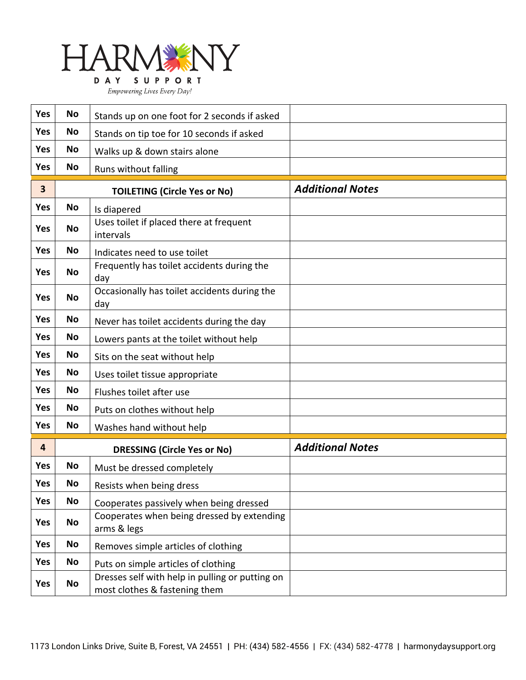

| Yes        | <b>No</b><br>Stands up on one foot for 2 seconds if asked       |                                                                                  |                         |
|------------|-----------------------------------------------------------------|----------------------------------------------------------------------------------|-------------------------|
| <b>Yes</b> | No                                                              | Stands on tip toe for 10 seconds if asked                                        |                         |
| <b>Yes</b> | No<br>Walks up & down stairs alone                              |                                                                                  |                         |
| <b>Yes</b> | No                                                              | Runs without falling                                                             |                         |
| 3          |                                                                 | <b>TOILETING (Circle Yes or No)</b>                                              | <b>Additional Notes</b> |
| <b>Yes</b> | <b>No</b>                                                       | Is diapered                                                                      |                         |
| <b>Yes</b> | <b>No</b>                                                       | Uses toilet if placed there at frequent<br>intervals                             |                         |
| <b>Yes</b> | <b>No</b>                                                       | Indicates need to use toilet                                                     |                         |
| <b>Yes</b> | <b>No</b>                                                       | Frequently has toilet accidents during the<br>day                                |                         |
| <b>Yes</b> | <b>No</b>                                                       | Occasionally has toilet accidents during the<br>day                              |                         |
| <b>Yes</b> | No                                                              | Never has toilet accidents during the day                                        |                         |
| <b>Yes</b> | <b>No</b>                                                       | Lowers pants at the toilet without help                                          |                         |
| <b>Yes</b> | No                                                              | Sits on the seat without help                                                    |                         |
| <b>Yes</b> | No                                                              | Uses toilet tissue appropriate                                                   |                         |
| Yes        | No                                                              | Flushes toilet after use                                                         |                         |
| <b>Yes</b> | <b>No</b>                                                       | Puts on clothes without help                                                     |                         |
| <b>Yes</b> | No                                                              | Washes hand without help                                                         |                         |
| 4          |                                                                 | <b>DRESSING (Circle Yes or No)</b>                                               | <b>Additional Notes</b> |
| <b>Yes</b> | <b>No</b>                                                       | Must be dressed completely                                                       |                         |
| <b>Yes</b> | No                                                              | Resists when being dress                                                         |                         |
| Yes        | <b>No</b>                                                       | Cooperates passively when being dressed                                          |                         |
| Yes        | Cooperates when being dressed by extending<br>No<br>arms & legs |                                                                                  |                         |
| Yes        | <b>No</b>                                                       | Removes simple articles of clothing                                              |                         |
| Yes        | No                                                              | Puts on simple articles of clothing                                              |                         |
| Yes        | No                                                              | Dresses self with help in pulling or putting on<br>most clothes & fastening them |                         |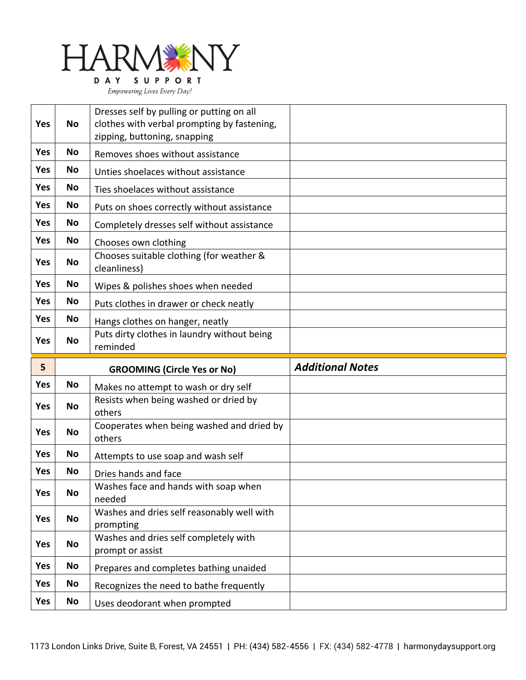

|            |           | Dresses self by pulling or putting on all                               |                         |
|------------|-----------|-------------------------------------------------------------------------|-------------------------|
| Yes        | <b>No</b> | clothes with verbal prompting by fastening,                             |                         |
|            |           | zipping, buttoning, snapping                                            |                         |
| <b>Yes</b> | <b>No</b> | Removes shoes without assistance                                        |                         |
| <b>Yes</b> | <b>No</b> | Unties shoelaces without assistance                                     |                         |
| Yes        | No        | Ties shoelaces without assistance                                       |                         |
| Yes        | No        | Puts on shoes correctly without assistance                              |                         |
| <b>Yes</b> | No        | Completely dresses self without assistance                              |                         |
| Yes        | No        | Chooses own clothing                                                    |                         |
| <b>Yes</b> | <b>No</b> | Chooses suitable clothing (for weather &<br>cleanliness)                |                         |
| <b>Yes</b> | No        | Wipes & polishes shoes when needed                                      |                         |
| <b>Yes</b> | No        | Puts clothes in drawer or check neatly                                  |                         |
| <b>Yes</b> | No        | Hangs clothes on hanger, neatly                                         |                         |
| <b>Yes</b> | <b>No</b> | Puts dirty clothes in laundry without being                             |                         |
|            |           | reminded                                                                |                         |
|            |           |                                                                         |                         |
| 5          |           | <b>GROOMING (Circle Yes or No)</b>                                      | <b>Additional Notes</b> |
| Yes        | No        | Makes no attempt to wash or dry self                                    |                         |
| <b>Yes</b> | <b>No</b> | Resists when being washed or dried by<br>others                         |                         |
| <b>Yes</b> | <b>No</b> | Cooperates when being washed and dried by<br>others                     |                         |
| <b>Yes</b> | No        | Attempts to use soap and wash self                                      |                         |
| <b>Yes</b> | No        | Dries hands and face                                                    |                         |
| Yes        | No        | Washes face and hands with soap when<br>needed                          |                         |
| Yes        | <b>No</b> | Washes and dries self reasonably well with<br>prompting                 |                         |
| <b>Yes</b> | No        | Washes and dries self completely with<br>prompt or assist               |                         |
| <b>Yes</b> | No        | Prepares and completes bathing unaided                                  |                         |
| Yes        | No        |                                                                         |                         |
| Yes        | <b>No</b> | Recognizes the need to bathe frequently<br>Uses deodorant when prompted |                         |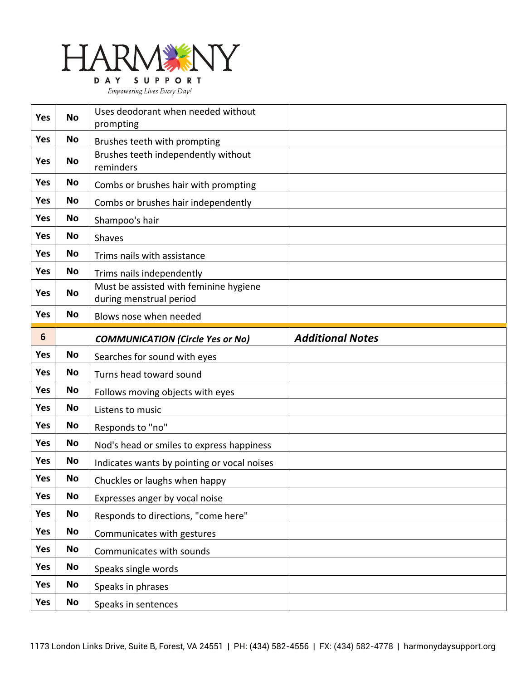

| <b>Yes</b> | <b>No</b> | Uses deodorant when needed without<br>prompting                   |                         |
|------------|-----------|-------------------------------------------------------------------|-------------------------|
| <b>Yes</b> | No        | Brushes teeth with prompting                                      |                         |
| <b>Yes</b> | <b>No</b> | Brushes teeth independently without<br>reminders                  |                         |
| <b>Yes</b> | No        | Combs or brushes hair with prompting                              |                         |
| Yes        | No        | Combs or brushes hair independently                               |                         |
| <b>Yes</b> | No        | Shampoo's hair                                                    |                         |
| <b>Yes</b> | No        | Shaves                                                            |                         |
| <b>Yes</b> | <b>No</b> | Trims nails with assistance                                       |                         |
| <b>Yes</b> | No        | Trims nails independently                                         |                         |
| <b>Yes</b> | <b>No</b> | Must be assisted with feminine hygiene<br>during menstrual period |                         |
| <b>Yes</b> | <b>No</b> | Blows nose when needed                                            |                         |
| 6          |           | <b>COMMUNICATION (Circle Yes or No)</b>                           | <b>Additional Notes</b> |
| <b>Yes</b> | <b>No</b> | Searches for sound with eyes                                      |                         |
|            |           |                                                                   |                         |
| <b>Yes</b> | No        | Turns head toward sound                                           |                         |
| <b>Yes</b> | No        | Follows moving objects with eyes                                  |                         |
| <b>Yes</b> | No        | Listens to music                                                  |                         |
| <b>Yes</b> | No        | Responds to "no"                                                  |                         |
| <b>Yes</b> | No        | Nod's head or smiles to express happiness                         |                         |
| <b>Yes</b> | No        | Indicates wants by pointing or vocal noises                       |                         |
| Yes        | No        | Chuckles or laughs when happy                                     |                         |
| Yes        | <b>No</b> | Expresses anger by vocal noise                                    |                         |
| Yes        | No        | Responds to directions, "come here"                               |                         |
| Yes        | <b>No</b> | Communicates with gestures                                        |                         |
| Yes        | No        | Communicates with sounds                                          |                         |
| Yes        | No        | Speaks single words                                               |                         |
| Yes        | <b>No</b> | Speaks in phrases                                                 |                         |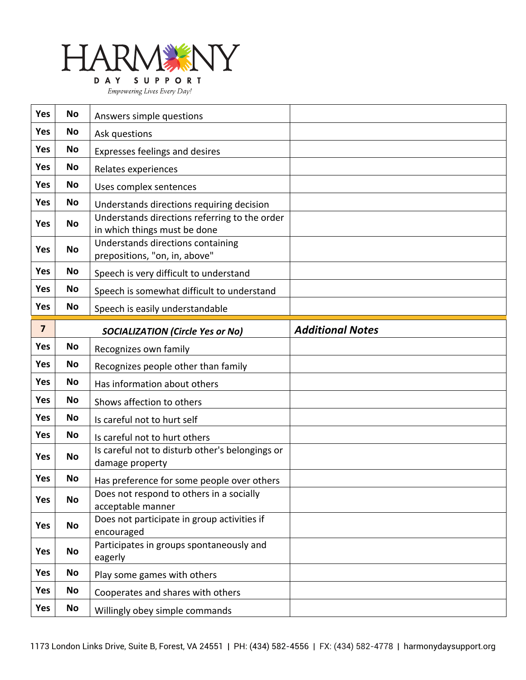

|  | Empowering Lives Every Day! |  |
|--|-----------------------------|--|
|--|-----------------------------|--|

| <b>Yes</b>              | <b>No</b> | Answers simple questions                                                      |                         |
|-------------------------|-----------|-------------------------------------------------------------------------------|-------------------------|
| <b>Yes</b>              | No        | Ask questions                                                                 |                         |
| <b>Yes</b>              | No        | <b>Expresses feelings and desires</b>                                         |                         |
| <b>Yes</b>              | <b>No</b> | Relates experiences                                                           |                         |
| <b>Yes</b>              | No        | Uses complex sentences                                                        |                         |
| <b>Yes</b>              | <b>No</b> | Understands directions requiring decision                                     |                         |
| <b>Yes</b>              | <b>No</b> | Understands directions referring to the order<br>in which things must be done |                         |
| <b>Yes</b>              | <b>No</b> | Understands directions containing<br>prepositions, "on, in, above"            |                         |
| <b>Yes</b>              | No        | Speech is very difficult to understand                                        |                         |
| <b>Yes</b>              | No        | Speech is somewhat difficult to understand                                    |                         |
| Yes                     | No        | Speech is easily understandable                                               |                         |
| $\overline{\mathbf{z}}$ |           | <b>SOCIALIZATION (Circle Yes or No)</b>                                       | <b>Additional Notes</b> |
| <b>Yes</b>              | <b>No</b> | Recognizes own family                                                         |                         |
|                         |           |                                                                               |                         |
| <b>Yes</b>              | No        | Recognizes people other than family                                           |                         |
| <b>Yes</b>              | <b>No</b> | Has information about others                                                  |                         |
| <b>Yes</b>              | No        | Shows affection to others                                                     |                         |
| <b>Yes</b>              | No        | Is careful not to hurt self                                                   |                         |
| <b>Yes</b>              | <b>No</b> | Is careful not to hurt others                                                 |                         |
| <b>Yes</b>              | <b>No</b> | Is careful not to disturb other's belongings or<br>damage property            |                         |
| Yes                     | No        | Has preference for some people over others                                    |                         |
| Yes                     | <b>No</b> | Does not respond to others in a socially<br>acceptable manner                 |                         |
| Yes                     | No        | Does not participate in group activities if<br>encouraged                     |                         |
| <b>Yes</b>              | No        | Participates in groups spontaneously and<br>eagerly                           |                         |
| <b>Yes</b>              | No        | Play some games with others                                                   |                         |
| <b>Yes</b>              | No        | Cooperates and shares with others                                             |                         |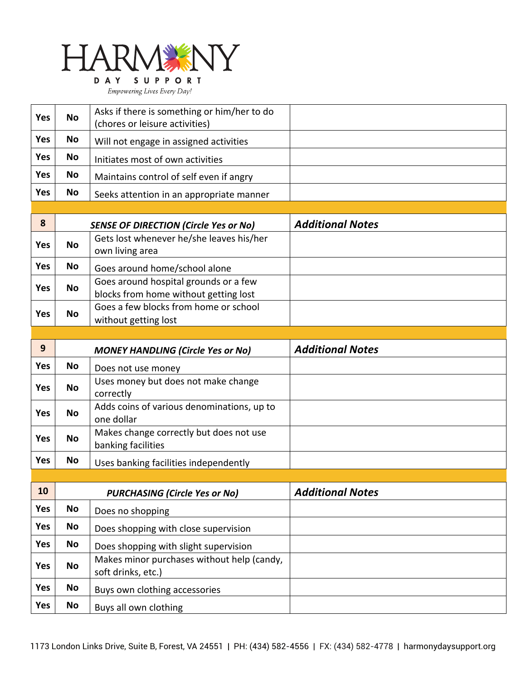

| <b>Yes</b> | <b>No</b> | Asks if there is something or him/her to do |  |
|------------|-----------|---------------------------------------------|--|
|            |           | (chores or leisure activities)              |  |
| <b>Yes</b> | No        | Will not engage in assigned activities      |  |
| <b>Yes</b> | No        | Initiates most of own activities            |  |
| <b>Yes</b> | No        | Maintains control of self even if angry     |  |
| <b>Yes</b> | <b>No</b> | Seeks attention in an appropriate manner    |  |

| 8          |           | <b>SENSE OF DIRECTION (Circle Yes or No)</b>                                   | <b>Additional Notes</b> |
|------------|-----------|--------------------------------------------------------------------------------|-------------------------|
| <b>Yes</b> | No        | Gets lost whenever he/she leaves his/her<br>own living area                    |                         |
| Yes        | No        | Goes around home/school alone                                                  |                         |
| Yes        | <b>No</b> | Goes around hospital grounds or a few<br>blocks from home without getting lost |                         |
| <b>Yes</b> | <b>No</b> | Goes a few blocks from home or school<br>without getting lost                  |                         |

| 9          |    | <b>MONEY HANDLING (Circle Yes or No)</b>                      | <b>Additional Notes</b> |
|------------|----|---------------------------------------------------------------|-------------------------|
| <b>Yes</b> | No | Does not use money                                            |                         |
| <b>Yes</b> | No | Uses money but does not make change<br>correctly              |                         |
| <b>Yes</b> | No | Adds coins of various denominations, up to<br>one dollar      |                         |
| <b>Yes</b> | No | Makes change correctly but does not use<br>banking facilities |                         |
| Yes        | No | Uses banking facilities independently                         |                         |

| 10         | <b>PURCHASING (Circle Yes or No)</b> |                                                                  | <b>Additional Notes</b> |
|------------|--------------------------------------|------------------------------------------------------------------|-------------------------|
| <b>Yes</b> | <b>No</b>                            | Does no shopping                                                 |                         |
| <b>Yes</b> | <b>No</b>                            | Does shopping with close supervision                             |                         |
| <b>Yes</b> | <b>No</b>                            | Does shopping with slight supervision                            |                         |
| <b>Yes</b> | <b>No</b>                            | Makes minor purchases without help (candy,<br>soft drinks, etc.) |                         |
| <b>Yes</b> | <b>No</b>                            | Buys own clothing accessories                                    |                         |
| <b>Yes</b> | <b>No</b>                            | Buys all own clothing                                            |                         |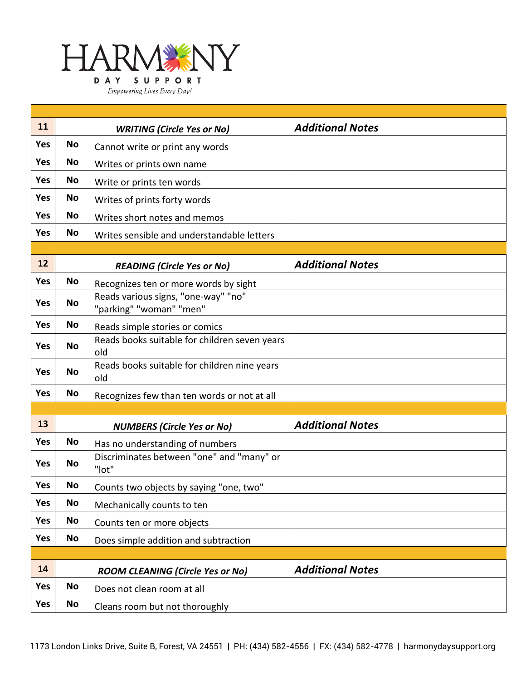

| 11         |           | <b>WRITING (Circle Yes or No)</b>          | <b>Additional Notes</b> |
|------------|-----------|--------------------------------------------|-------------------------|
| <b>Yes</b> | No        | Cannot write or print any words            |                         |
| <b>Yes</b> | No        | Writes or prints own name                  |                         |
| Yes        | No        | Write or prints ten words                  |                         |
| <b>Yes</b> | <b>No</b> | Writes of prints forty words               |                         |
| Yes        | <b>No</b> | Writes short notes and memos               |                         |
| Yes        | <b>No</b> | Writes sensible and understandable letters |                         |

| 12         | <b>READING (Circle Yes or No)</b> |                                                                | <b>Additional Notes</b> |
|------------|-----------------------------------|----------------------------------------------------------------|-------------------------|
| <b>Yes</b> | <b>No</b>                         | Recognizes ten or more words by sight                          |                         |
| <b>Yes</b> | <b>No</b>                         | Reads various signs, "one-way" "no"<br>"parking" "woman" "men" |                         |
| Yes        | No                                | Reads simple stories or comics                                 |                         |
| <b>Yes</b> | <b>No</b>                         | Reads books suitable for children seven years<br>old           |                         |
| <b>Yes</b> | <b>No</b>                         | Reads books suitable for children nine years<br>old            |                         |
| <b>Yes</b> | <b>No</b>                         | Recognizes few than ten words or not at all                    |                         |

| 13         |           | <b>NUMBERS (Circle Yes or No)</b>                  | <b>Additional Notes</b> |
|------------|-----------|----------------------------------------------------|-------------------------|
| <b>Yes</b> | No        | Has no understanding of numbers                    |                         |
| <b>Yes</b> | No        | Discriminates between "one" and "many" or<br>"lot" |                         |
| <b>Yes</b> | <b>No</b> | Counts two objects by saying "one, two"            |                         |
| <b>Yes</b> | No        | Mechanically counts to ten                         |                         |
| <b>Yes</b> | No        | Counts ten or more objects                         |                         |
| Yes        | No        | Does simple addition and subtraction               |                         |
|            |           |                                                    |                         |
| 14         |           | <b>ROOM CLEANING (Circle Yes or No)</b>            | <b>Additional Notes</b> |
| <b>Yes</b> | No        | Does not clean room at all                         |                         |

|     | $1.99$ and $2.11$ and $1.911$ and $1.91$ and $1.99$ and $1.99$ |                                |  |
|-----|----------------------------------------------------------------|--------------------------------|--|
| Yes | <b>No</b>                                                      | Does not clean room at all     |  |
| Yes | <b>No</b>                                                      | Cleans room but not thoroughly |  |
|     |                                                                |                                |  |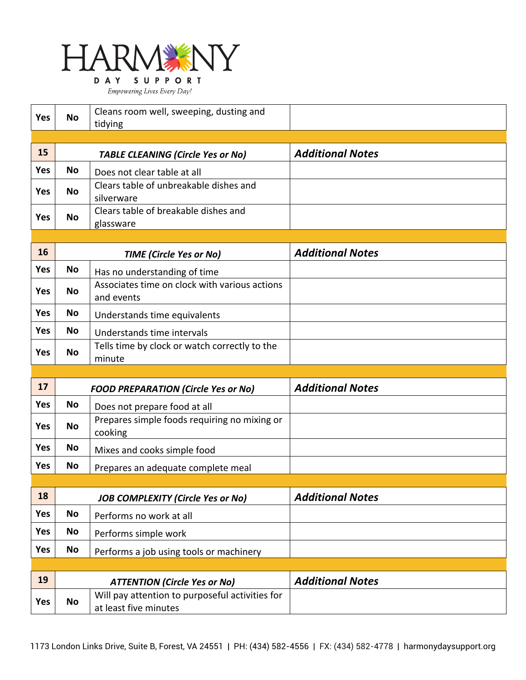

| <b>Yes</b> | <b>No</b>                                  | Cleans room well, sweeping, dusting and<br>tidying                       |                         |  |
|------------|--------------------------------------------|--------------------------------------------------------------------------|-------------------------|--|
|            |                                            |                                                                          |                         |  |
| 15         | <b>TABLE CLEANING (Circle Yes or No)</b>   |                                                                          | <b>Additional Notes</b> |  |
| <b>Yes</b> | <b>No</b>                                  | Does not clear table at all                                              |                         |  |
| <b>Yes</b> | No                                         | Clears table of unbreakable dishes and<br>silverware                     |                         |  |
| Yes        | <b>No</b>                                  | Clears table of breakable dishes and<br>glassware                        |                         |  |
|            |                                            |                                                                          |                         |  |
| 16         | <b>TIME (Circle Yes or No)</b>             |                                                                          | <b>Additional Notes</b> |  |
| Yes        | No                                         | Has no understanding of time                                             |                         |  |
| <b>Yes</b> | No                                         | Associates time on clock with various actions<br>and events              |                         |  |
| Yes        | No                                         | Understands time equivalents                                             |                         |  |
| Yes        | No                                         | Understands time intervals                                               |                         |  |
| Yes        | <b>No</b>                                  | Tells time by clock or watch correctly to the<br>minute                  |                         |  |
|            |                                            |                                                                          |                         |  |
| 17         | <b>FOOD PREPARATION (Circle Yes or No)</b> |                                                                          | <b>Additional Notes</b> |  |
| Yes        | <b>No</b>                                  | Does not prepare food at all                                             |                         |  |
| Yes        | <b>No</b>                                  | Prepares simple foods requiring no mixing or<br>cooking                  |                         |  |
| Yes        | <b>No</b>                                  | Mixes and cooks simple food                                              |                         |  |
| Yes        | No                                         | Prepares an adequate complete meal                                       |                         |  |
|            |                                            |                                                                          |                         |  |
| 18         | <b>JOB COMPLEXITY (Circle Yes or No)</b>   |                                                                          | <b>Additional Notes</b> |  |
| Yes        | <b>No</b>                                  | Performs no work at all                                                  |                         |  |
| Yes        | No                                         | Performs simple work                                                     |                         |  |
| Yes        | <b>No</b>                                  | Performs a job using tools or machinery                                  |                         |  |
|            |                                            |                                                                          |                         |  |
| 19         |                                            | <b>ATTENTION (Circle Yes or No)</b>                                      | <b>Additional Notes</b> |  |
| Yes        | <b>No</b>                                  | Will pay attention to purposeful activities for<br>at least five minutes |                         |  |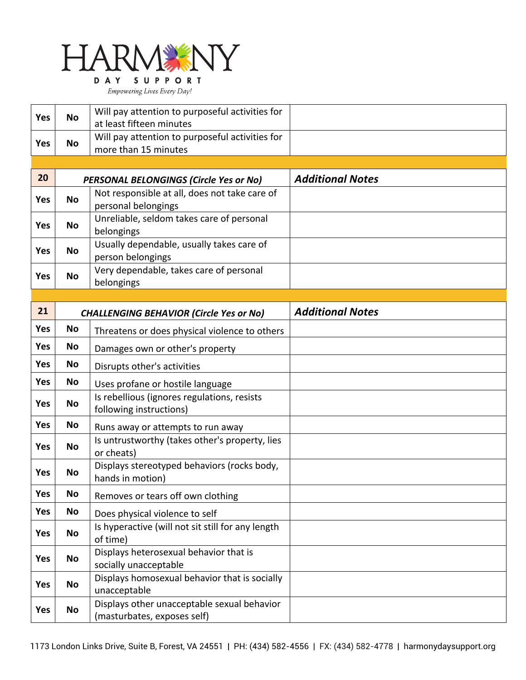

DAY SUPPORT Empowering Lives Every Day!

| <b>Yes</b> | <b>No</b>                                                                    | Will pay attention to purposeful activities for                            |                         |
|------------|------------------------------------------------------------------------------|----------------------------------------------------------------------------|-------------------------|
|            |                                                                              | at least fifteen minutes                                                   |                         |
| <b>Yes</b> | No                                                                           | Will pay attention to purposeful activities for                            |                         |
|            |                                                                              | more than 15 minutes                                                       |                         |
| 20         |                                                                              |                                                                            |                         |
|            |                                                                              | PERSONAL BELONGINGS (Circle Yes or No)                                     | <b>Additional Notes</b> |
| Yes        | <b>No</b>                                                                    | Not responsible at all, does not take care of<br>personal belongings       |                         |
| <b>Yes</b> | No                                                                           | Unreliable, seldom takes care of personal                                  |                         |
|            |                                                                              | belongings                                                                 |                         |
| Yes        | No                                                                           | Usually dependable, usually takes care of<br>person belongings             |                         |
| <b>Yes</b> | No                                                                           | Very dependable, takes care of personal                                    |                         |
|            |                                                                              | belongings                                                                 |                         |
|            |                                                                              |                                                                            |                         |
| 21         |                                                                              | <b>CHALLENGING BEHAVIOR (Circle Yes or No)</b>                             | <b>Additional Notes</b> |
| <b>Yes</b> | <b>No</b>                                                                    | Threatens or does physical violence to others                              |                         |
| <b>Yes</b> | No                                                                           | Damages own or other's property                                            |                         |
| <b>Yes</b> | No                                                                           | Disrupts other's activities                                                |                         |
| <b>Yes</b> | No                                                                           | Uses profane or hostile language                                           |                         |
| <b>Yes</b> | Is rebellious (ignores regulations, resists<br>No<br>following instructions) |                                                                            |                         |
| <b>Yes</b> | No<br>Runs away or attempts to run away                                      |                                                                            |                         |
| Yes        | No                                                                           | Is untrustworthy (takes other's property, lies<br>or cheats)               |                         |
| Yes        | <b>No</b>                                                                    | Displays stereotyped behaviors (rocks body,<br>hands in motion)            |                         |
| <b>Yes</b> | <b>No</b>                                                                    | Removes or tears off own clothing                                          |                         |
| <b>Yes</b> | No                                                                           | Does physical violence to self                                             |                         |
| Yes        | No                                                                           | Is hyperactive (will not sit still for any length<br>of time)              |                         |
| <b>Yes</b> | No                                                                           | Displays heterosexual behavior that is<br>socially unacceptable            |                         |
| Yes        | No                                                                           | Displays homosexual behavior that is socially<br>unacceptable              |                         |
| Yes        | No                                                                           | Displays other unacceptable sexual behavior<br>(masturbates, exposes self) |                         |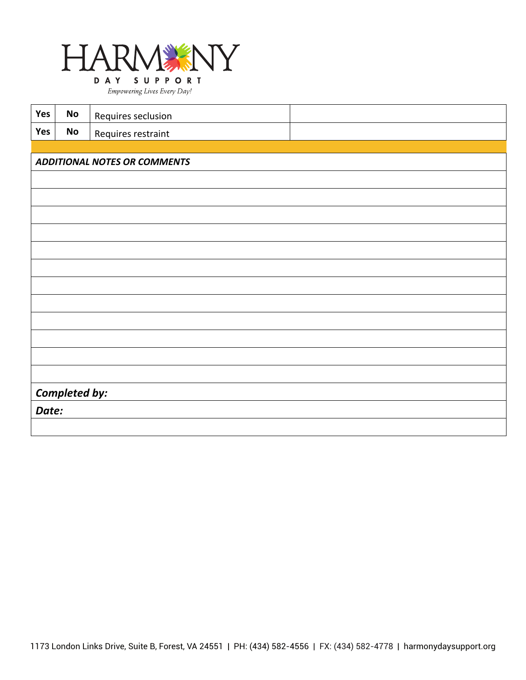

| Yes           | <b>No</b>                           | Requires seclusion |  |  |  |  |  |
|---------------|-------------------------------------|--------------------|--|--|--|--|--|
| Yes           | $\mathsf{No}$                       | Requires restraint |  |  |  |  |  |
|               |                                     |                    |  |  |  |  |  |
|               | <b>ADDITIONAL NOTES OR COMMENTS</b> |                    |  |  |  |  |  |
|               |                                     |                    |  |  |  |  |  |
|               |                                     |                    |  |  |  |  |  |
|               |                                     |                    |  |  |  |  |  |
|               |                                     |                    |  |  |  |  |  |
|               |                                     |                    |  |  |  |  |  |
|               |                                     |                    |  |  |  |  |  |
|               |                                     |                    |  |  |  |  |  |
|               |                                     |                    |  |  |  |  |  |
|               |                                     |                    |  |  |  |  |  |
|               |                                     |                    |  |  |  |  |  |
|               |                                     |                    |  |  |  |  |  |
|               |                                     |                    |  |  |  |  |  |
| Completed by: |                                     |                    |  |  |  |  |  |
| Date:         |                                     |                    |  |  |  |  |  |
|               |                                     |                    |  |  |  |  |  |